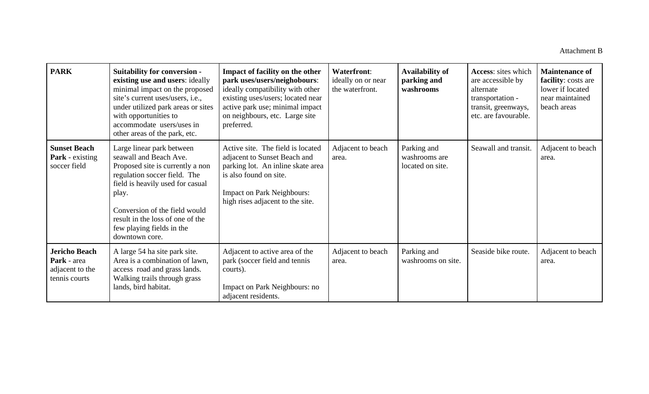| <b>PARK</b>                                                             | <b>Suitability for conversion -</b><br>existing use and users: ideally<br>minimal impact on the proposed<br>site's current uses/users, i.e.,<br>under utilized park areas or sites<br>with opportunities to<br>accommodate users/uses in<br>other areas of the park, etc.                | Impact of facility on the other<br>park uses/users/neighobours:<br>ideally compatibility with other<br>existing uses/users; located near<br>active park use; minimal impact<br>on neighbours, etc. Large site<br>preferred. | <b>Waterfront:</b><br>ideally on or near<br>the waterfront. | <b>Availability of</b><br>parking and<br>washrooms | <b>Access:</b> sites which<br>are accessible by<br>alternate<br>transportation -<br>transit, greenways,<br>etc. are favourable. | <b>Maintenance of</b><br>facility: costs are<br>lower if located<br>near maintained<br>beach areas |
|-------------------------------------------------------------------------|------------------------------------------------------------------------------------------------------------------------------------------------------------------------------------------------------------------------------------------------------------------------------------------|-----------------------------------------------------------------------------------------------------------------------------------------------------------------------------------------------------------------------------|-------------------------------------------------------------|----------------------------------------------------|---------------------------------------------------------------------------------------------------------------------------------|----------------------------------------------------------------------------------------------------|
| <b>Sunset Beach</b><br><b>Park</b> - existing<br>soccer field           | Large linear park between<br>seawall and Beach Ave.<br>Proposed site is currently a non<br>regulation soccer field. The<br>field is heavily used for casual<br>play.<br>Conversion of the field would<br>result in the loss of one of the<br>few playing fields in the<br>downtown core. | Active site. The field is located<br>adjacent to Sunset Beach and<br>parking lot. An inline skate area<br>is also found on site.<br><b>Impact on Park Neighbours:</b><br>high rises adjacent to the site.                   | Adjacent to beach<br>area.                                  | Parking and<br>washrooms are<br>located on site.   | Seawall and transit.                                                                                                            | Adjacent to beach<br>area.                                                                         |
| <b>Jericho Beach</b><br>Park - area<br>adjacent to the<br>tennis courts | A large 54 ha site park site.<br>Area is a combination of lawn,<br>access road and grass lands.<br>Walking trails through grass<br>lands, bird habitat.                                                                                                                                  | Adjacent to active area of the<br>park (soccer field and tennis<br>courts).<br>Impact on Park Neighbours: no<br>adjacent residents.                                                                                         | Adjacent to beach<br>area.                                  | Parking and<br>washrooms on site.                  | Seaside bike route.                                                                                                             | Adjacent to beach<br>area.                                                                         |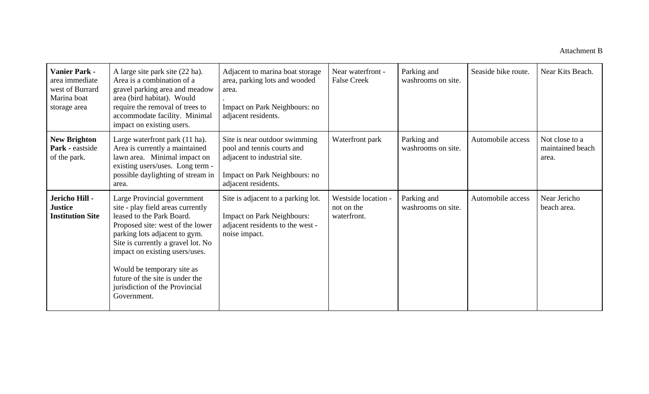| <b>Vanier Park -</b><br>area immediate<br>west of Burrard<br>Marina boat<br>storage area | A large site park site (22 ha).<br>Area is a combination of a<br>gravel parking area and meadow<br>area (bird habitat). Would<br>require the removal of trees to<br>accommodate facility. Minimal<br>impact on existing users.                                                                                                                               | Adjacent to marina boat storage<br>area, parking lots and wooded<br>area.<br>Impact on Park Neighbours: no<br>adjacent residents.                   | Near waterfront -<br><b>False Creek</b>          | Parking and<br>washrooms on site. | Seaside bike route. | Near Kits Beach.                            |
|------------------------------------------------------------------------------------------|--------------------------------------------------------------------------------------------------------------------------------------------------------------------------------------------------------------------------------------------------------------------------------------------------------------------------------------------------------------|-----------------------------------------------------------------------------------------------------------------------------------------------------|--------------------------------------------------|-----------------------------------|---------------------|---------------------------------------------|
| <b>New Brighton</b><br>Park - eastside<br>of the park.                                   | Large waterfront park (11 ha).<br>Area is currently a maintained<br>lawn area. Minimal impact on<br>existing users/uses. Long term -<br>possible daylighting of stream in<br>area.                                                                                                                                                                           | Site is near outdoor swimming<br>pool and tennis courts and<br>adjacent to industrial site.<br>Impact on Park Neighbours: no<br>adjacent residents. | Waterfront park                                  | Parking and<br>washrooms on site. | Automobile access   | Not close to a<br>maintained beach<br>area. |
| Jericho Hill -<br><b>Justice</b><br><b>Institution Site</b>                              | Large Provincial government<br>site - play field areas currently<br>leased to the Park Board.<br>Proposed site: west of the lower<br>parking lots adjacent to gym.<br>Site is currently a gravel lot. No<br>impact on existing users/uses.<br>Would be temporary site as<br>future of the site is under the<br>jurisdiction of the Provincial<br>Government. | Site is adjacent to a parking lot.<br><b>Impact on Park Neighbours:</b><br>adjacent residents to the west -<br>noise impact.                        | Westside location -<br>not on the<br>waterfront. | Parking and<br>washrooms on site. | Automobile access   | Near Jericho<br>beach area.                 |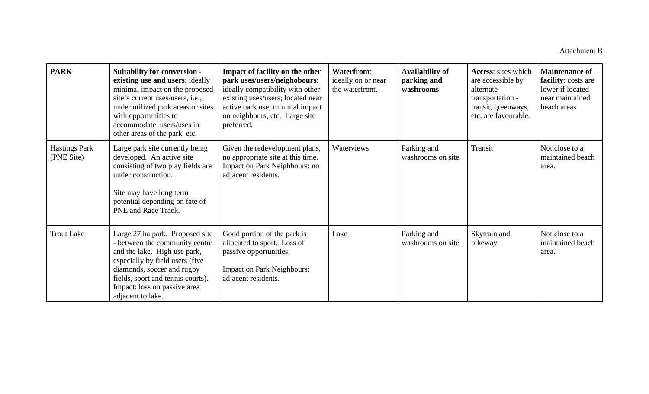| <b>PARK</b>                        | <b>Suitability for conversion -</b><br>existing use and users: ideally<br>minimal impact on the proposed<br>site's current uses/users, i.e.,<br>under utilized park areas or sites<br>with opportunities to<br>accommodate users/uses in<br>other areas of the park, etc. | Impact of facility on the other<br>park uses/users/neighobours:<br>ideally compatibility with other<br>existing uses/users; located near<br>active park use; minimal impact<br>on neighbours, etc. Large site<br>preferred. | <b>Waterfront:</b><br>ideally on or near<br>the waterfront. | <b>Availability of</b><br>parking and<br>washrooms | Access: sites which<br>are accessible by<br>alternate<br>transportation -<br>transit, greenways,<br>etc. are favourable. | <b>Maintenance of</b><br>facility: costs are<br>lower if located<br>near maintained<br>beach areas |
|------------------------------------|---------------------------------------------------------------------------------------------------------------------------------------------------------------------------------------------------------------------------------------------------------------------------|-----------------------------------------------------------------------------------------------------------------------------------------------------------------------------------------------------------------------------|-------------------------------------------------------------|----------------------------------------------------|--------------------------------------------------------------------------------------------------------------------------|----------------------------------------------------------------------------------------------------|
| <b>Hastings Park</b><br>(PNE Site) | Large park site currently being<br>developed. An active site<br>consisting of two play fields are<br>under construction.<br>Site may have long term<br>potential depending on fate of<br>PNE and Race Track.                                                              | Given the redevelopment plans,<br>no appropriate site at this time.<br>Impact on Park Neighbours: no<br>adjacent residents.                                                                                                 | Waterviews                                                  | Parking and<br>washrooms on site                   | Transit                                                                                                                  | Not close to a<br>maintained beach<br>area.                                                        |
| <b>Trout Lake</b>                  | Large 27 ha park. Proposed site<br>- between the community centre<br>and the lake. High use park,<br>especially by field users (five<br>diamonds, soccer and rugby<br>fields, sport and tennis courts).<br>Impact: loss on passive area<br>adjacent to lake.              | Good portion of the park is<br>allocated to sport. Loss of<br>passive opportunities.<br><b>Impact on Park Neighbours:</b><br>adjacent residents.                                                                            | Lake                                                        | Parking and<br>washrooms on site                   | Skytrain and<br>bikeway                                                                                                  | Not close to a<br>maintained beach<br>area.                                                        |